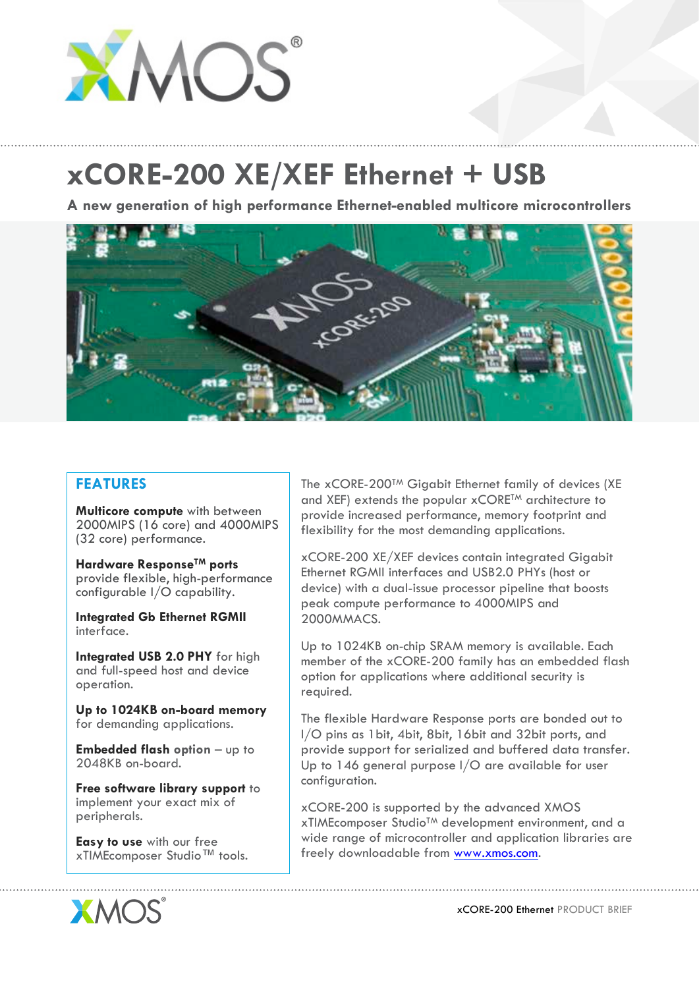

## **xCORE-200 XE/XEF Ethernet + USB**

**A new generation of high performance Ethernet-enabled multicore microcontrollers**



## **FEATURES**

**Multicore compute** with between 2000MIPS (16 core) and 4000MIPS (32 core) performance.

**Hardware ResponseTM ports** provide flexible, high-performance configurable I/O capability.

**Integrated Gb Ethernet RGMII** interface.

**Integrated USB 2.0 PHY** for high and full-speed host and device operation.

**Up to 1024KB on-board memory** for demanding applications.

**Embedded flash option** – up to 2048KB on-board.

**Free software library support** to implement your exact mix of peripherals.

**Easy to use** with our free xTIMEcomposer Studio™ tools. The xCORE-200™ Gigabit Ethernet family of devices (XE and XEF) extends the popular xCORE<sup>TM</sup> architecture to provide increased performance, memory footprint and flexibility for the most demanding applications.

xCORE-200 XE/XEF devices contain integrated Gigabit Ethernet RGMII interfaces and USB2.0 PHYs (host or device) with a dual-issue processor pipeline that boosts peak compute performance to 4000MIPS and 2000MMACS.

Up to 1024KB on-chip SRAM memory is available. Each member of the xCORE-200 family has an embedded flash option for applications where additional security is required.

The flexible Hardware Response ports are bonded out to I/O pins as 1bit, 4bit, 8bit, 16bit and 32bit ports, and provide support for serialized and buffered data transfer. Up to 146 general purpose I/O are available for user configuration.

xCORE-200 is supported by the advanced XMOS xTIMEcomposer StudioTM development environment, and a wide range of microcontroller and application libraries are freely downloadable from www.xmos.com.